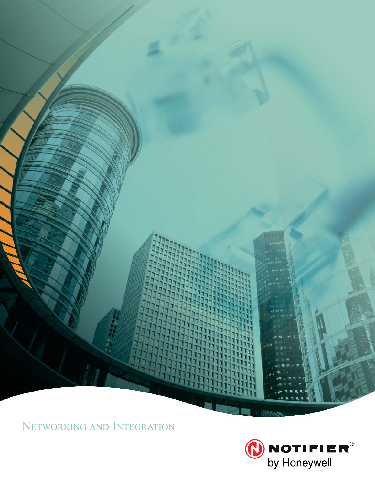

NETWORKING AND INTEGRATION

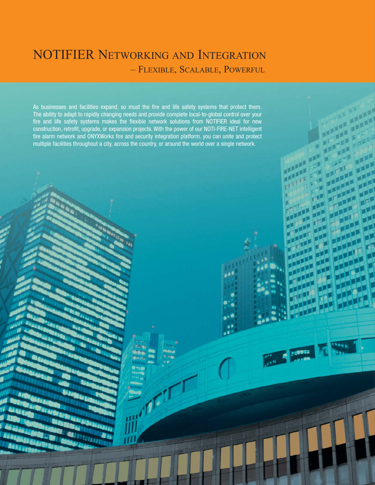# NOTIFIER NETWORKING AND INTEGRATION – FLEXIBLE, SCALABLE, POWERFUL

As businesses and facilities expand, so must the fire and life safety systems that protect them. The ability to adapt to rapidly changing needs and provide complete local-to-global control over your fire and life safety systems makes the flexible network solutions from NOTIFIER ideal for new construction, retrofit, upgrade, or expansion projects. With the power of our NOTI-FIRE-NET intelligent fire alarm network and ONYXWorks fire and security integration platform, you can unite and protect multiple facilities throughout a city, across the country, or around the world over a single network.

**CALL AND PRODUCT**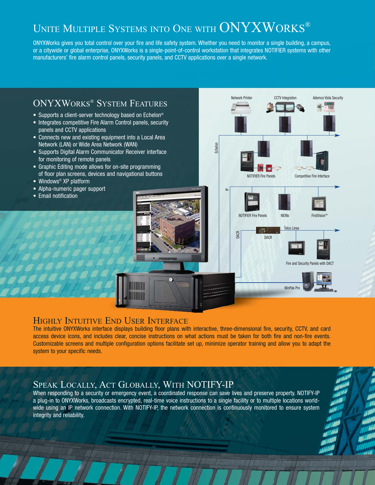# UNITE MULTIPLE SYSTEMS INTO ONE WITH ONYXWORKS®

ONYXWorks gives you total control over your fire and life safety system. Whether you need to monitor a single building, a campus, or a citywide or global enterprise, ONYXWorks is a single-point-of-control workstation that integrates NOTIFIER systems with other manufacturers' fire alarm control panels, security panels, and CCTV applications over a single network.



### HIGHLY INTUITIVE END USER INTERFACE

The intuitive ONYXWorks interface displays building floor plans with interactive, three-dimensional fire, security, CCTV, and card access device icons, and includes clear, concise instructions on what actions must be taken for both fire and non-fire events. Customizable screens and multiple configuration options facilitate set up, minimize operator training and allow you to adapt the system to your specific needs.

### SPEAK LOCALLY, ACT GLOBALLY, WITH NOTIFY-IP

When responding to a security or emergency event, a coordinated response can save lives and preserve property. NOTIFY-IP a plug-in to ONYXWorks, broadcasts encrypted, real-time voice instructions to a single facility or to multiple locations worldwide using an IP network connection. With NOTIFY-IP, the network connection is continuously monitored to ensure system integrity and reliability.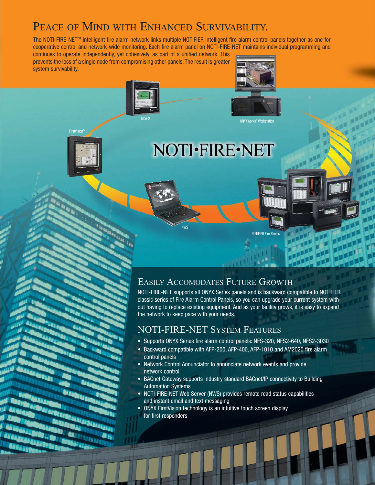# PEACE OF MIND WITH ENHANCED SURVIVABILITY.

NCA-2

The NOTI-FIRE-NETTM intelligent fire alarm network links multiple NOTIFIER intelligent fire alarm control panels together as one for cooperative control and network-wide monitoring. Each fire alarm panel on NOTI-FIRE-NET maintains individual programming and

NWS

continues to operate independently, yet cohesively, as part of a unified network. This prevents the loss of a single node from compromising other panels. The result is greater system survivability.



FirstVi

# NOTI·FIRE·NET

ONYXWorks® Workstat

NOTIFIER Fire Panel

# EASILY ACCOMODATES FUTURE GROWTH

NOTI-FIRE-NET supports all ONYX Series panels and is backward compatible to NOTIFIER classic series of Fire Alarm Control Panels, so you can upgrade your current system without having to replace existing equipment. And as your facility grows, it is easy to expand the network to keep pace with your needs.

### NOTI-FIRE-NET SYSTEM FEATURES

- Supports ONYX Series fire alarm control panels: NFS-320, NFS2-640, NFS2-3030
- Backward compatible with AFP-200, AFP-400, AFP-1010 and AM2020 fire alarm control panels
- Network Control Annunciator to annunciate network events and provide network control
- BACnet Gateway supports industry standard BACnet/IP connectivity to Building Automation Systems
- NOTI-FIRE-NET Web Server (NWS) provides remote read status capabilities and instant email and text messaging
- ONYX FirstVision technology is an intuitive touch screen display for first responders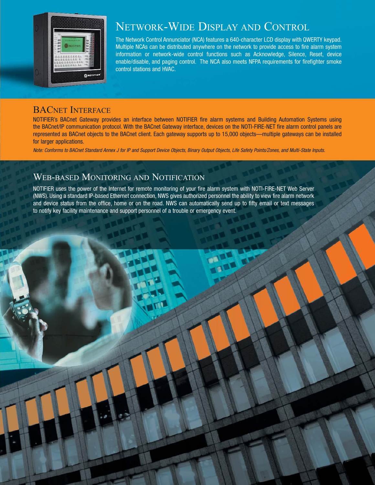

# NETWORK-WIDE DISPLAY AND CONTROL

The Network Control Annunciator (NCA) features a 640-character LCD display with QWERTY keypad. Multiple NCAs can be distributed anywhere on the network to provide access to fire alarm system information or network-wide control functions such as Acknowledge, Silence, Reset, device enable/disable, and paging control. The NCA also meets NFPA requirements for firefighter smoke control stations and HVAC.

> **DARK MARK**

### BACNET INTERFACE

NOTIFIER's BACnet Gateway provides an interface between NOTIFIER fire alarm systems and Building Automation Systems using the BACnet/IP communication protocol. With the BACnet Gateway interface, devices on the NOTI-FIRE-NET fire alarm control panels are represented as BACnet objects to the BACnet client. Each gateway supports up to 15,000 objects—multiple gateways can be installed for larger applications.

Note: Conforms to BACnet Standard Annex J for IP and Support Device Objects, Binary Output Objects, Life Safety Points/Zones, and Multi-State Inputs.

## WEB-BASED MONITORING AND NOTIFICATION

NOTIFIER uses the power of the Internet for remote monitoring of your fire alarm system with NOTI-FIRE-NET Web Server (NWS). Using a standard IP-based Ethernet connection, NWS gives authorized personnel the ability to view fire alarm network and device status from the office, home or on the road. NWS can automatically send up to fifty email or text messages to notify key facility maintenance and support personnel of a trouble or emergency event.